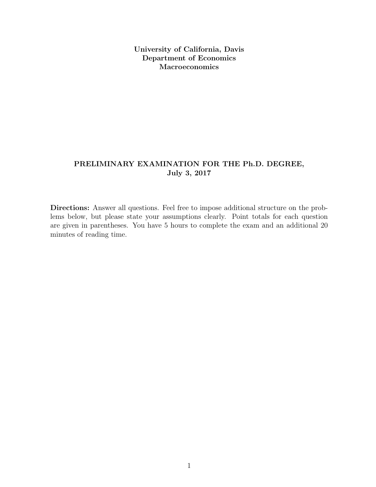University of California, Davis Department of Economics Macroeconomics

# PRELIMINARY EXAMINATION FOR THE Ph.D. DEGREE, July 3, 2017

Directions: Answer all questions. Feel free to impose additional structure on the problems below, but please state your assumptions clearly. Point totals for each question are given in parentheses. You have 5 hours to complete the exam and an additional 20 minutes of reading time.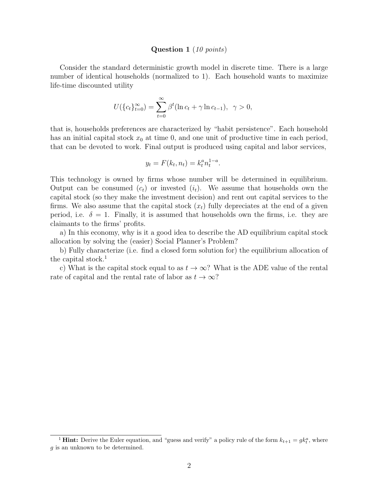#### Question 1 (10 points)

Consider the standard deterministic growth model in discrete time. There is a large number of identical households (normalized to 1). Each household wants to maximize life-time discounted utility

$$
U(\{c_t\}_{t=0}^{\infty}) = \sum_{t=0}^{\infty} \beta^t (\ln c_t + \gamma \ln c_{t-1}), \ \ \gamma > 0,
$$

that is, households preferences are characterized by "habit persistence". Each household has an initial capital stock  $x_0$  at time 0, and one unit of productive time in each period, that can be devoted to work. Final output is produced using capital and labor services,

$$
y_t = F(k_t, n_t) = k_t^a n_t^{1-a}.
$$

This technology is owned by firms whose number will be determined in equilibrium. Output can be consumed  $(c_t)$  or invested  $(i_t)$ . We assume that households own the capital stock (so they make the investment decision) and rent out capital services to the firms. We also assume that the capital stock  $(x_t)$  fully depreciates at the end of a given period, i.e.  $\delta = 1$ . Finally, it is assumed that households own the firms, i.e. they are claimants to the firms' profits.

a) In this economy, why is it a good idea to describe the AD equilibrium capital stock allocation by solving the (easier) Social Planner's Problem?

b) Fully characterize (i.e. find a closed form solution for) the equilibrium allocation of the capital stock.<sup>1</sup>

c) What is the capital stock equal to as  $t \to \infty$ ? What is the ADE value of the rental rate of capital and the rental rate of labor as  $t \to \infty$ ?

<sup>&</sup>lt;sup>1</sup> **Hint:** Derive the Euler equation, and "guess and verify" a policy rule of the form  $k_{t+1} = g k_t^a$ , where g is an unknown to be determined.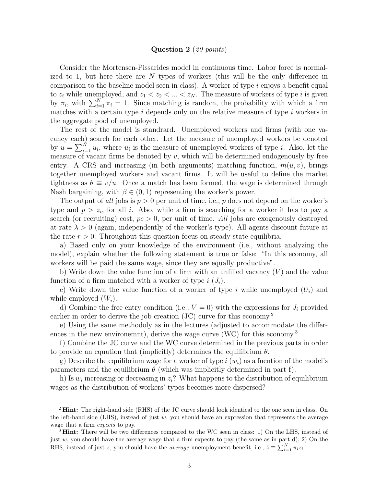#### Question 2 (20 points)

Consider the Mortensen-Pissarides model in continuous time. Labor force is normalized to 1, but here there are N types of workers (this will be the only difference in comparison to the baseline model seen in class). A worker of type  $i$  enjoys a benefit equal to  $z_i$  while unemployed, and  $z_1 < z_2 < \ldots < z_N$ . The measure of workers of type i is given by  $\pi_i$ , with  $\sum_{i=1}^N \pi_i = 1$ . Since matching is random, the probability with which a firm matches with a certain type  $i$  depends only on the relative measure of type  $i$  workers in the aggregate pool of unemployed.

The rest of the model is standrard. Unemployed workers and firms (with one vacancy each) search for each other. Let the measure of unemployed workers be denoted by  $u = \sum_{i=1}^{N} u_i$ , where  $u_i$  is the measure of unemployed workers of type *i*. Also, let the measure of vacant firms be denoted by  $v$ , which will be determined endogenously by free entry. A CRS and increasing (in both arguments) matching function,  $m(u, v)$ , brings together unemployed workers and vacant firms. It will be useful to define the market tightness as  $\theta \equiv v/u$ . Once a match has been formed, the wage is determined through Nash bargaining, with  $\beta \in (0, 1)$  representing the worker's power.

The output of all jobs is  $p > 0$  per unit of time, i.e., p does not depend on the worker's type and  $p > z_i$ , for all i. Also, while a firm is searching for a worker it has to pay a search (or recruiting) cost,  $pc > 0$ , per unit of time. All jobs are exogenously destroyed at rate  $\lambda > 0$  (again, independently of the worker's type). All agents discount future at the rate  $r > 0$ . Throughout this question focus on steady state equilibria.

a) Based only on your knowledge of the environment (i.e., without analyzing the model), explain whether the following statement is true or false: "In this economy, all workers will be paid the same wage, since they are equally productive".

b) Write down the value function of a firm with an unfilled vacancy  $(V)$  and the value function of a firm matched with a worker of type  $i(J_i)$ .

c) Write down the value function of a worker of type i while unemployed  $(U_i)$  and while employed  $(W_i)$ .

d) Combine the free entry condition (i.e.,  $V = 0$ ) with the expressions for  $J_i$  provided earlier in order to derive the job creation (JC) curve for this economy.<sup>2</sup>

e) Using the same methodoly as in the lectures (adjusted to accommodate the differences in the new environemnt), derive the wage curve (WC) for this economy.<sup>3</sup>

f) Combine the JC curve and the WC curve determined in the previous parts in order to provide an equation that (implicitly) determines the equilibrium  $\theta$ .

g) Describe the equilibrium wage for a worker of type i  $(w_i)$  as a fucntion of the model's parameters and the equilibrium  $\theta$  (which was implicitly determined in part f).

h) Is  $w_i$  increasing or decreasing in  $z_i$ ? What happens to the distribution of equilibrium wages as the distribution of workers' types becomes more dispersed?

<sup>&</sup>lt;sup>2</sup> **Hint:** The right-hand side (RHS) of the JC curve should look identical to the one seen in class. On the left-hand side (LHS), instead of just  $w$ , you should have an expression that represents the average wage that a firm *expects* to pay.

<sup>&</sup>lt;sup>3</sup> Hint: There will be two differences compared to the WC seen in class: 1) On the LHS, instead of just  $w$ , you should have the average wage that a firm expects to pay (the same as in part d); 2) On the RHS, instead of just z, you should have the *average* unemployment benefit, i.e.,  $\bar{z} \equiv \sum_{i=1}^{N} \pi_i z_i$ .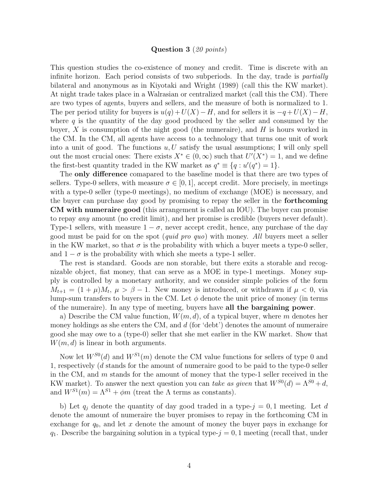## Question 3 (20 points)

This question studies the co-existence of money and credit. Time is discrete with an infinite horizon. Each period consists of two subperiods. In the day, trade is *partially* bilateral and anonymous as in Kiyotaki and Wright (1989) (call this the KW market). At night trade takes place in a Walrasian or centralized market (call this the CM). There are two types of agents, buyers and sellers, and the measure of both is normalized to 1. The per period utility for buyers is  $u(q) + U(X) - H$ , and for sellers it is  $-q + U(X) - H$ , where  $q$  is the quantity of the day good produced by the seller and consumed by the buyer,  $X$  is consumption of the night good (the numeraire), and  $H$  is hours worked in the CM. In the CM, all agents have access to a technology that turns one unit of work into a unit of good. The functions  $u, U$  satisfy the usual assumptions; I will only spell out the most crucial ones: There exists  $X^* \in (0, \infty)$  such that  $U'(X^*) = 1$ , and we define the first-best quantity traded in the KW market as  $q^* \equiv \{q : u'(q^*) = 1\}.$ 

The **only difference** comapared to the baseline model is that there are two types of sellers. Type-0 sellers, with measure  $\sigma \in [0, 1]$ , accept credit. More precisely, in meetings with a type-0 seller (type-0 meetings), no medium of exchange (MOE) is necessary, and the buyer can purchase day good by promising to repay the seller in the forthcoming CM with numeraire good (this arrangement is called an IOU). The buyer can promise to repay any amount (no credit limit), and her promise is credible (buyers never default). Type-1 sellers, with measure  $1 - \sigma$ , never accept credit, hence, any purchase of the day good must be paid for on the spot (quid pro quo) with money. All buyers meet a seller in the KW market, so that  $\sigma$  is the probability with which a buyer meets a type-0 seller, and  $1 - \sigma$  is the probability with which she meets a type-1 seller.

The rest is standard. Goods are non storable, but there exits a storable and recognizable object, fiat money, that can serve as a MOE in type-1 meetings. Money supply is controlled by a monetary authority, and we consider simple policies of the form  $M_{t+1} = (1 + \mu)M_t$ ,  $\mu > \beta - 1$ . New money is introduced, or withdrawn if  $\mu < 0$ , via lump-sum transfers to buyers in the CM. Let  $\phi$  denote the unit price of money (in terms of the numeraire). In any type of meeting, buyers have all the bargaining power.

a) Describe the CM value function,  $W(m, d)$ , of a typical buyer, where m denotes her money holdings as she enters the CM, and  $d$  (for 'debt') denotes the amount of numeraire good she may owe to a (type-0) seller that she met earlier in the KW market. Show that  $W(m, d)$  is linear in both arguments.

Now let  $W^{S0}(d)$  and  $W^{S1}(m)$  denote the CM value functions for sellers of type 0 and 1, respectively (d stands for the amount of numeraire good to be paid to the type-0 seller in the CM, and  $m$  stands for the amount of money that the type-1 seller received in the KW market). To answer the next question you can take as given that  $W^{S0}(d) = \Lambda^{S0} + d$ , and  $W^{S1}(m) = \Lambda^{S1} + \phi m$  (treat the  $\Lambda$  terms as constants).

b) Let  $q_j$  denote the quantity of day good traded in a type- $j = 0, 1$  meeting. Let d denote the amount of numeraire the buyer promises to repay in the forthcoming CM in exchange for  $q_0$ , and let x denote the amount of money the buyer pays in exchange for  $q_1$ . Describe the bargaining solution in a typical type- $j = 0, 1$  meeting (recall that, under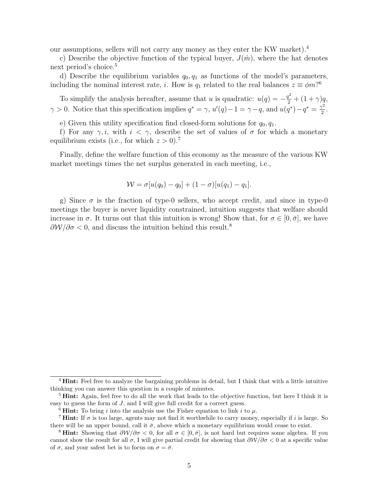our assumptions, sellers will not carry any money as they enter the KW market).<sup>4</sup>

c) Describe the objective function of the typical buyer,  $J(\hat{m})$ , where the hat denotes next period's choice.<sup>5</sup>

d) Describe the equilibrium variables  $q_0, q_1$  as functions of the model's parameters, including the nominal interest rate, *i*. How is  $q_1$  related to the real balances  $z \equiv \phi m$ ?<sup>6</sup>

To simplify the analysis hereafter, assume that u is quadratic:  $u(q) = -\frac{q^2}{2} + (1+\gamma)q$ ,  $\gamma > 0$ . Notice that this specification implies  $q^* = \gamma$ ,  $u'(q) - 1 = \gamma - q$ , and  $u(q^*) - q^* = \frac{\gamma^2}{2}$  $\frac{\gamma^2}{2}$ .

e) Given this utility specification find closed-form solutions for  $q_0, q_1$ .

f) For any  $\gamma, i$ , with  $i < \gamma$ , describe the set of values of  $\sigma$  for which a monetary equilibrium exists (i.e., for which  $z > 0$ ).<sup>7</sup>

Finally, define the welfare function of this economy as the measure of the various KW market meetings times the net surplus generated in each meeting, i.e.,

$$
W = \sigma[u(q_0) - q_0] + (1 - \sigma)[u(q_1) - q_1].
$$

g) Since  $\sigma$  is the fraction of type-0 sellers, who accept credit, and since in type-0 meetings the buyer is never liquidity constrained, intuition suggests that welfare should increase in  $\sigma$ . It turns out that this intuition is wrong! Show that, for  $\sigma \in [0, \bar{\sigma}]$ , we have  $\partial \mathcal{W}/\partial \sigma < 0$ , and discuss the intuition behind this result.<sup>8</sup>

<sup>&</sup>lt;sup>4</sup> **Hint:** Feel free to analyze the bargaining problems in detail, but I think that with a little intuitive thinking you can answer this question in a couple of minutes.

<sup>&</sup>lt;sup>5</sup> **Hint:** Again, feel free to do all the work that leads to the objective function, but here I think it is easy to guess the form of J, and I will give full credit for a correct guess.

<sup>&</sup>lt;sup>6</sup> **Hint:** To bring i into the analysis use the Fisher equation to link i to  $\mu$ .

<sup>&</sup>lt;sup>7</sup> **Hint:** If  $\sigma$  is too large, agents may not find it worthwhile to carry money, especially if i is large. So there will be an upper bound, call it  $\bar{\sigma}$ , above which a monetary equilibrium would cease to exist.

<sup>&</sup>lt;sup>8</sup> **Hint:** Showing that  $\partial W/\partial \sigma < 0$ , for all  $\sigma \in [0, \bar{\sigma}]$ , is not hard but requires some algebra. If you cannot show the result for all  $\sigma$ , I will give partial credit for showing that  $\frac{\partial W}{\partial \sigma} < 0$  at a specific value of  $\sigma$ , and your safest bet is to focus on  $\sigma = \bar{\sigma}$ .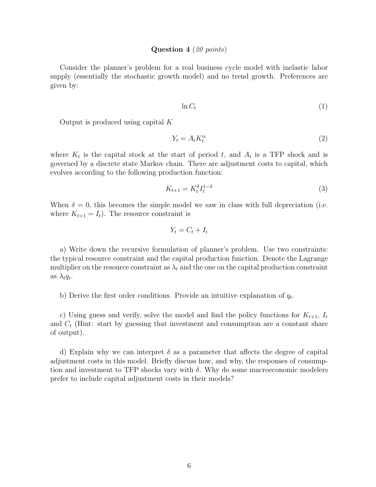#### Question 4 (20 points)

Consider the planner's problem for a real business cycle model with inelastic labor supply (essentially the stochastic growth model) and no trend growth. Preferences are given by:

$$
\ln C_t \tag{1}
$$

Output is produced using capital K

$$
Y_t = A_t K_t^{\alpha} \tag{2}
$$

where  $K_t$  is the capital stock at the start of period t, and  $A_t$  is a TFP shock and is governed by a discrete state Markov chain. There are adjustment costs to capital, which evolves according to the following production function:

$$
K_{t+1} = K_t^{\delta} I_t^{1-\delta} \tag{3}
$$

When  $\delta = 0$ , this becomes the simple model we saw in class with full depreciation (i.e. where  $K_{t+1} = I_t$ . The resource constraint is

$$
Y_t = C_t + I_t
$$

a) Write down the recursive formulation of planner's problem. Use two constraints: the typical resource constraint and the capital production function. Denote the Lagrange multiplier on the resource constraint as  $\lambda_t$  and the one on the capital production constraint as  $\lambda_t q_t$ .

b) Derive the first order conditions. Provide an intuitive explanation of  $q_t$ .

c) Using guess and verify, solve the model and find the policy functions for  $K_{t+1}$ ,  $I_t$ and  $C_t$  (Hint: start by guessing that investment and consumption are a constant share of output).

d) Explain why we can interpret  $\delta$  as a parameter that affects the degree of capital adjustment costs in this model. Briefly discuss how, and why, the responses of consumption and investment to TFP shocks vary with  $\delta$ . Why do some macroeconomic modelers prefer to include capital adjustment costs in their models?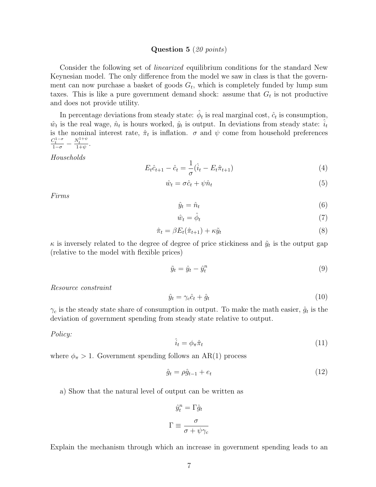## Question 5 (20 points)

Consider the following set of linearized equilibrium conditions for the standard New Keynesian model. The only difference from the model we saw in class is that the government can now purchase a basket of goods  $G_t$ , which is completely funded by lump sum taxes. This is like a pure government demand shock: assume that  $G_t$  is not productive and does not provide utility.

In percentage deviations from steady state:  $\hat{\phi}_t$  is real marginal cost,  $\hat{c}_t$  is consumption,  $\hat{w}_t$  is the real wage,  $\hat{n}_t$  is hours worked,  $\hat{y}_t$  is output. In deviations from steady state:  $\hat{i}_t$ is the nominal interest rate,  $\hat{\pi}_t$  is inflation.  $\sigma$  and  $\psi$  come from household preferences  $\frac{C_t^{1-\sigma}}{1-\sigma} - \frac{N_t^{1+\psi}}{1+\psi}$ .

Households

$$
E_t \hat{c}_{t+1} - \hat{c}_t = \frac{1}{\sigma} (\hat{i}_t - E_t \hat{\pi}_{t+1})
$$
\n(4)

$$
\hat{w}_t = \sigma \hat{c}_t + \psi \hat{n}_t \tag{5}
$$

Firms

$$
\hat{y}_t = \hat{n}_t \tag{6}
$$

$$
\hat{w}_t = \hat{\phi}_t \tag{7}
$$

$$
\hat{\pi}_t = \beta E_t(\hat{\pi}_{t+1}) + \kappa \tilde{y}_t \tag{8}
$$

 $\kappa$  is inversely related to the degree of degree of price stickiness and  $\tilde{y}_t$  is the output gap (relative to the model with flexible prices)

$$
\tilde{y}_t = \hat{y}_t - \hat{y}_t^n \tag{9}
$$

Resource constraint

$$
\hat{y}_t = \gamma_c \hat{c}_t + \hat{g}_t \tag{10}
$$

 $\gamma_c$  is the steady state share of consumption in output. To make the math easier,  $\hat{g}_t$  is the deviation of government spending from steady state relative to output.

Policy:

$$
\hat{i}_t = \phi_\pi \hat{\pi}_t \tag{11}
$$

where  $\phi_{\pi} > 1$ . Government spending follows an AR(1) process

$$
\hat{g}_t = \rho \hat{g}_{t-1} + e_t \tag{12}
$$

a) Show that the natural level of output can be written as

$$
\hat{y}_t^n = \Gamma \hat{g}_t
$$

$$
\Gamma \equiv \frac{\sigma}{\sigma + \psi \gamma_c}
$$

Explain the mechanism through which an increase in government spending leads to an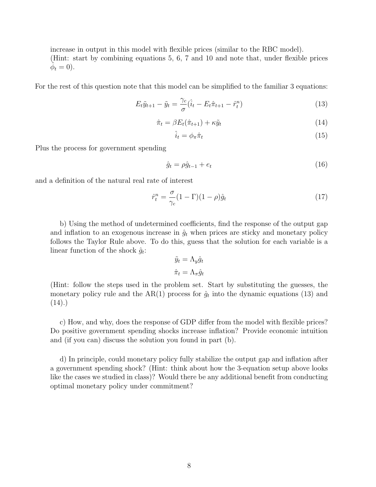increase in output in this model with flexible prices (similar to the RBC model). (Hint: start by combining equations 5, 6, 7 and 10 and note that, under flexible prices  $\dot{\hat{\phi}}_t = 0$ .

For the rest of this question note that this model can be simplified to the familiar 3 equations:

$$
E_t \tilde{y}_{t+1} - \tilde{y}_t = \frac{\gamma_c}{\sigma} (\hat{i}_t - E_t \hat{\pi}_{t+1} - \hat{r}_t^n)
$$
\n(13)

$$
\hat{\pi}_t = \beta E_t(\hat{\pi}_{t+1}) + \kappa \tilde{y}_t \tag{14}
$$

$$
\hat{i}_t = \phi_\pi \hat{\pi}_t \tag{15}
$$

Plus the process for government spending

$$
\hat{g}_t = \rho \hat{g}_{t-1} + e_t \tag{16}
$$

and a definition of the natural real rate of interest

$$
\hat{r}_t^n = \frac{\sigma}{\gamma_c} (1 - \Gamma)(1 - \rho)\hat{g}_t \tag{17}
$$

b) Using the method of undetermined coefficients, find the response of the output gap and inflation to an exogenous increase in  $\hat{g}_t$  when prices are sticky and monetary policy follows the Taylor Rule above. To do this, guess that the solution for each variable is a linear function of the shock  $\hat{g}_t$ :

$$
\tilde{y}_t = \Lambda_y \hat{g}_t
$$

$$
\hat{\pi}_t = \Lambda_\pi \hat{g}_t
$$

(Hint: follow the steps used in the problem set. Start by substituting the guesses, the monetary policy rule and the AR(1) process for  $\hat{g}_t$  into the dynamic equations (13) and  $(14).$ 

c) How, and why, does the response of GDP differ from the model with flexible prices? Do positive government spending shocks increase inflation? Provide economic intuition and (if you can) discuss the solution you found in part (b).

d) In principle, could monetary policy fully stabilize the output gap and inflation after a government spending shock? (Hint: think about how the 3-equation setup above looks like the cases we studied in class)? Would there be any additional benefit from conducting optimal monetary policy under commitment?